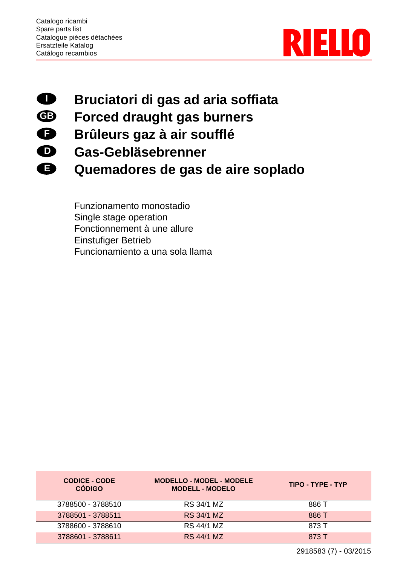

## **Bruciatori di gas ad aria soffiata I**

- **Forced draught gas burners GB**
- **Brûleurs gaz à air soufflé F**
- **Gas-Gebläsebrenner D**
- **Quemadores de gas de aire soplado E**

Funzionamento monostadio Single stage operation Fonctionnement à une allure Einstufiger Betrieb Funcionamiento a una sola llama

| <b>CODICE - CODE</b><br><b>CÓDIGO</b> | <b>MODELLO - MODEL - MODELE</b><br><b>MODELL - MODELO</b> | TIPO - TYPE - TYP |
|---------------------------------------|-----------------------------------------------------------|-------------------|
| 3788500 - 3788510                     | RS 34/1 MZ                                                | 886 T             |
| 3788501 - 3788511                     | RS 34/1 MZ                                                | 886 T             |
| 3788600 - 3788610                     | <b>RS 44/1 MZ</b>                                         | 873 T             |
| 3788601 - 3788611                     | RS 44/1 MZ                                                | 873 T             |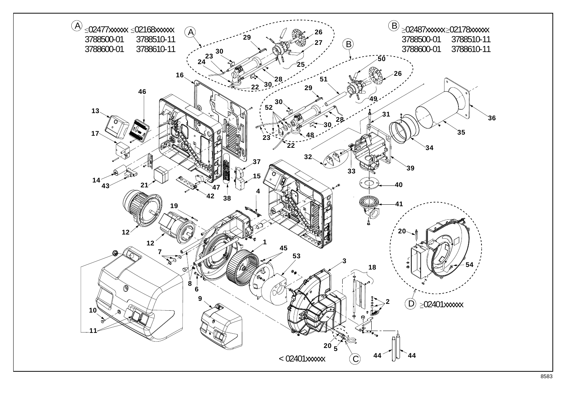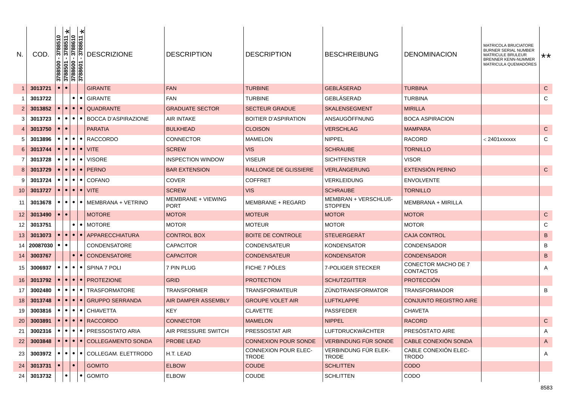| N.              | COD      | 88510<br>57 | ×<br>3788511<br>3788610<br>3788611<br>$\frac{3788500}{3788501}$<br>$\frac{3788501}{3788600}$ | ∗         | <b>DESCRIZIONE</b>                                                          | <b>DESCRIPTION</b>                | <b>DESCRIPTION</b>                   | <b>BESCHREIBUNG</b>                    | <b>DENOMINACION</b>                            | MATRICOLA BRUCIATORE<br><b>BURNER SERIAL NUMBER</b><br>MATRICULE BRULEUR<br><b>BRENNER KENN-NUMMER</b><br>MATRICULA QUEMADÓRES | **           |
|-----------------|----------|-------------|----------------------------------------------------------------------------------------------|-----------|-----------------------------------------------------------------------------|-----------------------------------|--------------------------------------|----------------------------------------|------------------------------------------------|--------------------------------------------------------------------------------------------------------------------------------|--------------|
|                 | 3013721  |             |                                                                                              |           | <b>GIRANTE</b>                                                              | <b>FAN</b>                        | <b>TURBINE</b>                       | <b>GEBLASERAD</b>                      | <b>TURBINA</b>                                 |                                                                                                                                | $\mathsf{C}$ |
|                 | 3013722  |             | $\bullet$                                                                                    | $\bullet$ | GIRANTE                                                                     | <b>FAN</b>                        | <b>TURBINE</b>                       | GEBLÄSERAD                             | <b>TURBINA</b>                                 |                                                                                                                                | C            |
|                 | 3013852  | $\bullet$   |                                                                                              |           | $\bullet$ $\bullet$ $\bullet$   QUADRANTE                                   | <b>GRADUATE SECTOR</b>            | <b>SECTEUR GRADUE</b>                | <b>SKALENSEGMENT</b>                   | <b>MIRILLA</b>                                 |                                                                                                                                |              |
|                 | 3013723  | $\bullet$   | $\bullet\bullet\bullet\bullet$                                                               |           | BOCCA D'ASPIRAZIONE                                                         | AIR INTAKE                        | <b>BOITIER D'ASPIRATION</b>          | ANSAUGÖFFNUNG                          | <b>BOCA ASPIRACION</b>                         |                                                                                                                                |              |
|                 | 3013750  |             |                                                                                              |           | <b>PARATIA</b>                                                              | <b>BULKHEAD</b>                   | <b>CLOISON</b>                       | <b>VERSCHLAG</b>                       | <b>MAMPARA</b>                                 |                                                                                                                                | ${\bf C}$    |
|                 | 3013896  | $\bullet$   |                                                                                              |           | $\bullet$ $\bullet$ $\bullet$ RACCORDO                                      | <b>CONNECTOR</b>                  | <b>MAMELON</b>                       | <b>NIPPEL</b>                          | <b>RACORD</b>                                  | < 2401xxxxxx                                                                                                                   | C            |
| 6               | 3013744  | $\bullet$   |                                                                                              |           | $\bullet$ $\bullet$ $\bullet$ $\vdash$ VITE                                 | <b>SCREW</b>                      | <b>VIS</b>                           | <b>SCHRAUBE</b>                        | <b>TORNILLO</b>                                |                                                                                                                                |              |
|                 | 3013728  | $\bullet$   | $\bullet\bullet\bullet$                                                                      |           | <b>VISORE</b>                                                               | INSPECTION WINDOW                 | <b>VISEUR</b>                        | <b>SICHTFENSTER</b>                    | <b>VISOR</b>                                   |                                                                                                                                |              |
| 8               | 3013729  |             |                                                                                              |           | $\bullet$ $\bullet$ $\bullet$ $\bullet$ PERNO                               | <b>BAR EXTENSION</b>              | <b>RALLONGE DE GLISSIERE</b>         | VERLÄNGERUNG                           | EXTENSIÓN PERNO                                |                                                                                                                                | $\mathsf C$  |
|                 | 3013724  |             | $\bullet\bullet\bullet$                                                                      |           | COFANO                                                                      | <b>COVER</b>                      | <b>COFFRET</b>                       | VERKLEIDUNG                            | <b>ENVOLVENTE</b>                              |                                                                                                                                |              |
| 10              | 3013727  | $\bullet$   | $\bullet\bullet$                                                                             | $\bullet$ | <b>VITE</b>                                                                 | <b>SCREW</b>                      | <b>VIS</b>                           | <b>SCHRAUBE</b>                        | <b>TORNILLO</b>                                |                                                                                                                                |              |
| 11              | 3013678  | $\bullet$   |                                                                                              |           | $\bullet$   $\bullet$   MEMBRANA + VETRINO                                  | MEMBRANE + VIEWING<br><b>PORT</b> | MEMBRANE + REGARD                    | MEMBRAN + VERSCHLUß-<br><b>STOPFEN</b> | MEMBRANA + MIRILLA                             |                                                                                                                                |              |
| 12              | 3013490  |             | $\bullet$                                                                                    |           | <b>MOTORE</b>                                                               | <b>MOTOR</b>                      | <b>MOTEUR</b>                        | <b>MOTOR</b>                           | <b>MOTOR</b>                                   |                                                                                                                                | $\mathsf C$  |
| 12              | 3013751  |             | $\bullet$                                                                                    | $\bullet$ | <b>MOTORE</b>                                                               | <b>MOTOR</b>                      | <b>MOTEUR</b>                        | <b>MOTOR</b>                           | <b>MOTOR</b>                                   |                                                                                                                                | С            |
| 13              | 3013073  |             | $\bullet\bullet\bullet\bullet$                                                               |           | <b>APPARECCHIATURA</b>                                                      | <b>CONTROL BOX</b>                | <b>BOITE DE CONTROLE</b>             | <b>STEUERGERAT</b>                     | <b>CAJA CONTROL</b>                            |                                                                                                                                | $\sf B$      |
| 14              | 20087030 | $\bullet$   | $\bullet$                                                                                    |           | <b>CONDENSATORE</b>                                                         | <b>CAPACITOR</b>                  | <b>CONDENSATEUR</b>                  | <b>KONDENSATOR</b>                     | <b>CONDENSADOR</b>                             |                                                                                                                                | B            |
| 14              | 3003767  |             |                                                                                              |           | $\bullet$   $\bullet$   CONDENSATORE                                        | <b>CAPACITOR</b>                  | <b>CONDENSATEUR</b>                  | <b>KONDENSATOR</b>                     | <b>CONDENSADOR</b>                             |                                                                                                                                | $\sf{B}$     |
| 15              | 3006937  | $\bullet$   |                                                                                              |           | $\bullet$ $\bullet$ $\bullet$ SPINA 7 POLI                                  | 7 PIN PLUG                        | FICHE 7 PÔLES                        | 7-POLIGER STECKER                      | <b>CONECTOR MACHO DE 7</b><br><b>CONTACTOS</b> |                                                                                                                                | Α            |
| 16              | 3013792  |             |                                                                                              |           | $\bullet$ $\bullet$ $\bullet$ $\bullet$ PROTEZIONE                          | <b>GRID</b>                       | <b>PROTECTION</b>                    | <b>SCHUTZGITTER</b>                    | <b>PROTECCIÓN</b>                              |                                                                                                                                |              |
| 17              | 3002480  |             |                                                                                              |           | ●   ●   ●   TRASFORMATORE                                                   | <b>TRANSFORMER</b>                | <b>TRANSFORMATEUR</b>                | ZUNDTRANSFORMATOR                      | <b>TRANSFORMADOR</b>                           |                                                                                                                                | B            |
| 18              | 3013748  |             |                                                                                              |           | $\bullet$   $\bullet$   GRUPPO SERRANDA                                     | AIR DAMPER ASSEMBLY               | <b>GROUPE VOLET AIR</b>              | <b>LUFTKLAPPE</b>                      | <b>CONJUNTO REGISTRO AIRE</b>                  |                                                                                                                                |              |
| 19              | 3003816  |             | $\bullet\bullet\bullet$                                                                      |           | CHIAVETTA                                                                   | KEY                               | <b>CLAVETTE</b>                      | <b>PASSFEDER</b>                       | <b>CHAVETA</b>                                 |                                                                                                                                |              |
| 20              | 3003891  |             | $\bullet\bullet\bullet$                                                                      |           | <b>RACCORDO</b>                                                             | <b>CONNECTOR</b>                  | <b>MAMELON</b>                       | <b>NIPPEL</b>                          | <b>RACORD</b>                                  |                                                                                                                                | $\mathsf C$  |
| 21 <sub>1</sub> |          |             |                                                                                              |           | 3002316   •   •   •   •   PRESSOSTATO ARIA                                  | AIR PRESSURE SWITCH               | PRESSOSTAT AIR                       | LUFTDRUCKWÄCHTER                       | PRESÓSTATO AIRE                                |                                                                                                                                | A            |
| 22              | 3003848  |             |                                                                                              |           | O O O COLLEGAMENTO SONDA                                                    | PROBE LEAD                        | <b>CONNEXION POUR SONDE</b>          | <b>VERBINDUNG FÜR SONDE</b>            | CABLE CONEXIÓN SONDA                           |                                                                                                                                | A            |
| 23              | 3003972  |             |                                                                                              |           | $\left  \bullet \right  \bullet \left  \bullet \right $ COLLEGAM. ELETTRODO | H.T. LEAD                         | CONNEXION POUR ELEC-<br><b>TRODE</b> | VERBINDUNG FÜR ELEK-<br><b>TRODE</b>   | CABLE CONEXIÓN ELEC-<br><b>TRODO</b>           |                                                                                                                                | A            |
| 24              | 3013731  |             | $\bullet$                                                                                    |           | <b>GOMITO</b>                                                               | <b>ELBOW</b>                      | COUDE                                | <b>SCHLITTEN</b>                       | <b>CODO</b>                                    |                                                                                                                                |              |
| 24 <sub>1</sub> | 3013732  |             |                                                                                              | $\bullet$ | <b>GOMITO</b>                                                               | <b>ELBOW</b>                      | COUDE                                | <b>SCHLITTEN</b>                       | CODO                                           |                                                                                                                                |              |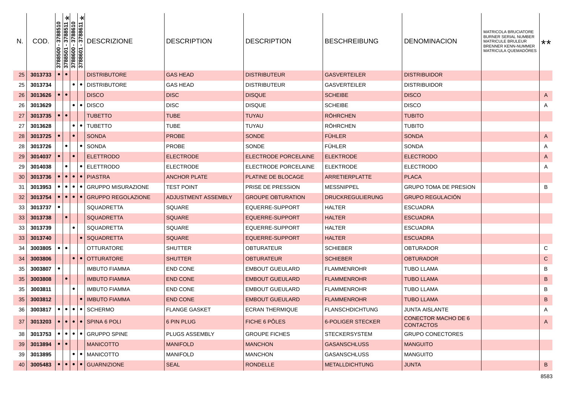| N. | <b>COD</b>                    | 3788510<br>3788500 | ×<br>3788511 | ∗<br>$-3788610$<br>$-3788611$<br>3788501<br>3788600<br>3788601     | <b>DESCRIZIONE</b>                                                     | <b>DESCRIPTION</b>   | <b>DESCRIPTION</b>          | <b>BESCHREIBUNG</b>      | <b>DENOMINACION</b>                            | <b>MATRICOLA BRUCIATORE</b><br>BURNER SERIAL NUMBER<br>MATRICULE BRULEUR<br>BRENNER KENN-NUMMER<br>MATRICULA QUEMADÓRES | **          |
|----|-------------------------------|--------------------|--------------|--------------------------------------------------------------------|------------------------------------------------------------------------|----------------------|-----------------------------|--------------------------|------------------------------------------------|-------------------------------------------------------------------------------------------------------------------------|-------------|
| 25 | 3013733                       |                    |              |                                                                    | <b>DISTRIBUTORE</b>                                                    | <b>GAS HEAD</b>      | <b>DISTRIBUTEUR</b>         | <b>GASVERTEILER</b>      | <b>DISTRIBUIDOR</b>                            |                                                                                                                         |             |
| 25 | 3013734                       |                    |              | $\bullet$<br>$\bullet$                                             | <b>DISTRIBUTORE</b>                                                    | <b>GAS HEAD</b>      | <b>DISTRIBUTEUR</b>         | <b>GASVERTEILER</b>      | DISTRIBUIDOR                                   |                                                                                                                         |             |
| 26 | 3013626                       |                    | $\bullet$    |                                                                    | <b>DISCO</b>                                                           | <b>DISC</b>          | <b>DISQUE</b>               | <b>SCHEIBE</b>           | <b>DISCO</b>                                   |                                                                                                                         | A           |
| 26 | 3013629                       |                    |              | $\bullet$<br>$\bullet$                                             | <b>DISCO</b>                                                           | <b>DISC</b>          | <b>DISQUE</b>               | <b>SCHEIBE</b>           | <b>DISCO</b>                                   |                                                                                                                         | Α           |
| 27 | 3013735                       |                    | $\bullet$    |                                                                    | <b>TUBETTO</b>                                                         | <b>TUBE</b>          | <b>TUYAU</b>                | <b>RÖHRCHEN</b>          | <b>TUBITO</b>                                  |                                                                                                                         |             |
| 27 | 3013628                       |                    |              | $\bullet$<br>$\bullet$                                             | <b>TUBETTO</b>                                                         | TUBE                 | TUYAU                       | <b>ROHRCHEN</b>          | <b>TUBITO</b>                                  |                                                                                                                         |             |
| 28 | 3013725                       |                    | $\bullet$    |                                                                    | <b>SONDA</b>                                                           | <b>PROBE</b>         | <b>SONDE</b>                | <b>FÜHLER</b>            | <b>SONDA</b>                                   |                                                                                                                         | A           |
| 28 | 3013726                       |                    |              | $\bullet$                                                          | <b>SONDA</b>                                                           | <b>PROBE</b>         | <b>SONDE</b>                | <b>FÜHLER</b>            | <b>SONDA</b>                                   |                                                                                                                         | Α           |
| 29 | 3014037                       |                    | $\bullet$    |                                                                    | <b>ELETTRODO</b>                                                       | <b>ELECTRODE</b>     | <b>ELECTRODE PORCELAINE</b> | <b>ELEKTRODE</b>         | <b>ELECTRODO</b>                               |                                                                                                                         | A           |
| 29 | 3014038                       |                    |              | $\bullet$                                                          | <b>ELETTRODO</b>                                                       | <b>ELECTRODE</b>     | ELECTRODE PORCELAINE        | <b>ELEKTRODE</b>         | <b>ELECTRODO</b>                               |                                                                                                                         | Α           |
| 30 | 3013736                       |                    | $\bullet$    | $  \bullet   \bullet  $                                            | <b>PIASTRA</b>                                                         | <b>ANCHOR PLATE</b>  | <b>PLATINE DE BLOCAGE</b>   | ARRETIERPLATTE           | <b>PLACA</b>                                   |                                                                                                                         |             |
| 31 | 3013953                       |                    |              | $\bullet\bullet\bullet\bullet\phantom{a}\bullet\phantom{a}\bullet$ | <b>GRUPPO MISURAZIONE</b>                                              | <b>TEST POINT</b>    | PRISE DE PRESSION           | <b>MESSNIPPEL</b>        | <b>GRUPO TOMA DE PRESION</b>                   |                                                                                                                         | B           |
| 32 | 3013754                       |                    |              | $\bullet\bullet\bullet$                                            | <b>GRUPPO REGOLAZIONE</b>                                              | ADJUSTMENT ASSEMBLY  | <b>GROUPE OBTURATION</b>    | <b>DRUCKREGULIERUNG</b>  | <b>GRUPO REGULACIÓN</b>                        |                                                                                                                         |             |
| 33 | 3013737                       |                    |              |                                                                    | SQUADRETTA                                                             | SQUARE               | EQUERRE-SUPPORT             | <b>HALTER</b>            | <b>ESCUADRA</b>                                |                                                                                                                         |             |
| 33 | 3013738                       |                    | $\bullet$    |                                                                    | <b>SQUADRETTA</b>                                                      | <b>SQUARE</b>        | <b>EQUERRE-SUPPORT</b>      | <b>HALTER</b>            | <b>ESCUADRA</b>                                |                                                                                                                         |             |
| 33 | 3013739                       |                    | $\bullet$    |                                                                    | SQUADRETTA                                                             | SQUARE               | EQUERRE-SUPPORT             | <b>HALTER</b>            | <b>ESCUADRA</b>                                |                                                                                                                         |             |
| 33 | 3013740                       |                    |              | $\bullet$                                                          | <b>SQUADRETTA</b>                                                      | <b>SQUARE</b>        | EQUERRE-SUPPORT             | <b>HALTER</b>            | <b>ESCUADRA</b>                                |                                                                                                                         |             |
| 34 | 3003805                       | $\bullet$          | $\bullet$    |                                                                    | OTTURATORE                                                             | <b>SHUTTER</b>       | OBTURATEUR                  | <b>SCHIEBER</b>          | <b>OBTURADOR</b>                               |                                                                                                                         | С           |
| 34 | 3003806                       |                    | $\bullet$    | $\bullet$                                                          | <b>OTTURATORE</b>                                                      | <b>SHUTTER</b>       | OBTURATEUR                  | <b>SCHIEBER</b>          | <b>OBTURADOR</b>                               |                                                                                                                         | $\mathsf C$ |
| 35 | 3003807                       |                    |              |                                                                    | <b>IMBUTO FIAMMA</b>                                                   | <b>END CONE</b>      | <b>EMBOUT GUEULARD</b>      | <b>FLAMMENROHR</b>       | TUBO LLAMA                                     |                                                                                                                         | B           |
| 35 | 3003808                       |                    |              |                                                                    | <b>IMBUTO FIAMMA</b>                                                   | <b>END CONE</b>      | <b>EMBOUT GUEULARD</b>      | <b>FLAMMENROHR</b>       | <b>TUBO LLAMA</b>                              |                                                                                                                         | $\sf B$     |
| 35 | 3003811                       |                    | $\bullet$    |                                                                    | <b>IMBUTO FIAMMA</b>                                                   | <b>END CONE</b>      | <b>EMBOUT GUEULARD</b>      | <b>FLAMMENROHR</b>       | <b>TUBO LLAMA</b>                              |                                                                                                                         | в           |
| 35 | 3003812                       |                    |              | $\bullet$                                                          | <b>IMBUTO FIAMMA</b>                                                   | <b>END CONE</b>      | <b>EMBOUT GUEULARD</b>      | <b>FLAMMENROHR</b>       | <b>TUBO LLAMA</b>                              |                                                                                                                         | B           |
| 36 | 3003817                       | $\bullet$          | $\bullet$    | $\bullet$                                                          | I · SCHERMO                                                            | <b>FLANGE GASKET</b> | <b>ECRAN THERMIQUE</b>      | <b>FLANSCHDICHTUNG</b>   | JUNTA AISLANTE                                 |                                                                                                                         | A           |
| 37 |                               |                    |              |                                                                    | 3013203 $\bullet$ $\bullet$ $\bullet$ $\bullet$ $\bullet$ SPINA 6 POLI | 6 PIN PLUG           | FICHE 6 PÔLES               | <b>6-POLIGER STECKER</b> | <b>CONECTOR MACHO DE 6</b><br><b>CONTACTOS</b> |                                                                                                                         | A           |
| 38 |                               |                    |              |                                                                    | 3013753  ●  ●  ●  ●  GRUPPO SPINE                                      | PLUGS ASSEMBLY       | <b>GROUPE FICHES</b>        | <b>STECKERSYSTEM</b>     | <b>GRUPO CONECTORES</b>                        |                                                                                                                         |             |
| 39 | $3013894$ $\bullet$ $\bullet$ |                    |              |                                                                    | <b>MANICOTTO</b>                                                       | <b>MANIFOLD</b>      | <b>MANCHON</b>              | <b>GASANSCHLUSS</b>      | <b>MANGUITO</b>                                |                                                                                                                         |             |
| 39 | 3013895                       |                    |              |                                                                    | $\bullet$   $\bullet$   MANICOTTO                                      | <b>MANIFOLD</b>      | <b>MANCHON</b>              | <b>GASANSCHLUSS</b>      | <b>MANGUITO</b>                                |                                                                                                                         |             |
| 40 | 3005483                       |                    |              |                                                                    | $\bullet$ $\bullet$ $\bullet$ GUARNIZIONE                              | <b>SEAL</b>          | <b>RONDELLE</b>             | <b>METALLDICHTUNG</b>    | <b>JUNTA</b>                                   |                                                                                                                         | B           |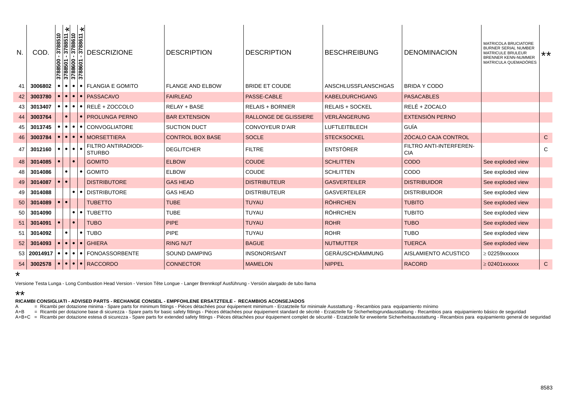| N. | COD.                    | 3788510<br>$\frac{3788500}{3788501}$<br>$\frac{3788501}{3788600}$ | $\ast$                     | ∗<br>19881<br>1988<br>1988<br>1988<br>$rac{25}{37}$<br>10988. | <b>DESCRIZIONE</b>                                                      | <b>DESCRIPTION</b>      | <b>DESCRIPTION</b>           | <b>BESCHREIBUNG</b>    | <b>DENOMINACION</b>                   | MATRICOLA BRUCIATORE<br><b>BURNER SERIAL NUMBER</b><br><b>MATRICULE BRULEUR</b><br><b>BRENNER KENN-NUMMER</b><br>MATRICULA QUEMADÓRES | $***$       |
|----|-------------------------|-------------------------------------------------------------------|----------------------------|---------------------------------------------------------------|-------------------------------------------------------------------------|-------------------------|------------------------------|------------------------|---------------------------------------|---------------------------------------------------------------------------------------------------------------------------------------|-------------|
| 41 | 3006802                 |                                                                   | $\bullet$ 1<br>$\bullet$ 1 |                                                               | • FLANGIA E GOMITO                                                      | <b>FLANGE AND ELBOW</b> | <b>BRIDE ET COUDE</b>        | ANSCHLUSSFLANSCHGAS    | BRIDA Y CODO                          |                                                                                                                                       |             |
| 42 | 3003780                 |                                                                   | $\bullet$<br>$\bullet$     |                                                               | • PASSACAVO                                                             | <b>FAIRLEAD</b>         | PASSE-CABLE                  | KABELDURCHGANG         | <b>PASACABLES</b>                     |                                                                                                                                       |             |
| 43 | 3013407                 | $\bullet$                                                         | $\bullet\bullet\bullet$    |                                                               | $\bullet$ RELE + ZOCCOLO                                                | RELAY + BASE            | <b>RELAIS + BORNIER</b>      | <b>RELAIS + SOCKEL</b> | RELÉ + ZOCALO                         |                                                                                                                                       |             |
| 44 | 3003764                 |                                                                   | $\bullet$                  |                                                               | ● <b>PROLUNGA PERNO</b>                                                 | <b>BAR EXTENSION</b>    | <b>RALLONGE DE GLISSIERE</b> | <b>VERLÄNGERUNG</b>    | EXTENSIÓN PERNO                       |                                                                                                                                       |             |
| 45 | 3013745                 |                                                                   |                            |                                                               | $\bullet$ $\bullet$ $\bullet$ $\bullet$ $\bullet$ $\circ$ CONVOGLIATORE | <b>SUCTION DUCT</b>     | <b>CONVOYEUR D'AIR</b>       | <b>LUFTLEITBLECH</b>   | GUÍA                                  |                                                                                                                                       |             |
| 46 | 3003784                 |                                                                   | $\bullet\bullet$           | $\bullet$ $\vdash$                                            | <b>MORSETTIERA</b>                                                      | <b>CONTROL BOX BASE</b> | <b>SOCLE</b>                 | <b>STECKSOCKEL</b>     | ZÓCALO CAJA CONTROL                   |                                                                                                                                       | $\mathsf C$ |
| 47 | 3012160                 | $\bullet$                                                         | $\bullet\bullet\bullet$    |                                                               | FILTRO ANTIRADIODI-<br><b>STURBO</b>                                    | <b>DEGLITCHER</b>       | <b>FILTRE</b>                | <b>ENTSTÖRER</b>       | FILTRO ANTI-INTERFEREN-<br><b>CIA</b> |                                                                                                                                       | C           |
| 48 | 3014085                 |                                                                   | $\bullet$                  |                                                               | <b>GOMITO</b>                                                           | <b>ELBOW</b>            | <b>COUDE</b>                 | <b>SCHLITTEN</b>       | <b>CODO</b>                           | See exploded view                                                                                                                     |             |
| 48 | 3014086                 |                                                                   | $\bullet$                  | $\bullet$                                                     | <b>GOMITO</b>                                                           | <b>ELBOW</b>            | COUDE                        | <b>SCHLITTEN</b>       | CODO                                  | See exploded view                                                                                                                     |             |
| 49 | 3014087                 |                                                                   | $\bullet$                  |                                                               | <b>DISTRIBUTORE</b>                                                     | <b>GAS HEAD</b>         | <b>DISTRIBUTEUR</b>          | <b>GASVERTEILER</b>    | <b>DISTRIBUIDOR</b>                   | See exploded view                                                                                                                     |             |
| 49 | 3014088                 |                                                                   | $\bullet$                  |                                                               | • DISTRIBUTORE                                                          | <b>GAS HEAD</b>         | <b>DISTRIBUTEUR</b>          | <b>GASVERTEILER</b>    | <b>DISTRIBUIDOR</b>                   | See exploded view                                                                                                                     |             |
| 50 | 3014089                 |                                                                   | $\bullet$                  |                                                               | <b>TUBETTO</b>                                                          | <b>TUBE</b>             | <b>TUYAU</b>                 | <b>RÖHRCHEN</b>        | <b>TUBITO</b>                         | See exploded view                                                                                                                     |             |
| 50 | 3014090                 |                                                                   | $\bullet$                  | $\bullet$                                                     | <b>TUBETTO</b>                                                          | <b>TUBE</b>             | <b>TUYAU</b>                 | <b>RÖHRCHEN</b>        | <b>TUBITO</b>                         | See exploded view                                                                                                                     |             |
| 51 | 3014091                 |                                                                   | $\bullet$                  |                                                               | <b>TUBO</b>                                                             | <b>PIPE</b>             | <b>TUYAU</b>                 | <b>ROHR</b>            | <b>TUBO</b>                           | See exploded view                                                                                                                     |             |
| 51 | 3014092                 |                                                                   | $\bullet$                  | $\bullet$                                                     | <b>TUBO</b>                                                             | PIPE                    | <b>TUYAU</b>                 | <b>ROHR</b>            | <b>TUBO</b>                           | See exploded view                                                                                                                     |             |
| 52 | 3014093                 |                                                                   | $\bullet$<br>$\bullet$     |                                                               | $\bullet$ GHIERA                                                        | <b>RING NUT</b>         | <b>BAGUE</b>                 | <b>NUTMUTTER</b>       | <b>TUERCA</b>                         | See exploded view                                                                                                                     |             |
|    | $53$ 20014917 $\bullet$ |                                                                   | $\bullet\bullet\bullet$    |                                                               | • FONOASSORBENTE                                                        | <b>SOUND DAMPING</b>    | <b>INSONORISANT</b>          | <b>GERÄUSCHDÄMMUNG</b> | AISLAMIENTO ACUSTICO                  | $\geq$ 02259xxxxxx                                                                                                                    |             |
| 54 | 3002578                 | ∣● ∣                                                              |                            |                                                               | $\bullet$ $\bullet$ $\bullet$ RACCORDO                                  | <b>CONNECTOR</b>        | <b>MAMELON</b>               | NIPPEL                 | <b>RACORD</b>                         | $\geq 02401$ XXXXXX                                                                                                                   | $\mathbf C$ |

\*

Versione Testa Lunga - Long Combustion Head Version - Version Tête Longue - Langer Brennkopf Ausführung - Versión alargado de tubo llama

## \*\*

RICAMBI CONSIGLIATI - ADVISED PARTS - RECHANGE CONSEIL - EMPFOHLENE ERSATZTEILE - RECAMBIOS ACONSEJADOS<br>A +B = Ricambi per dotazione minima - Spare parts for minimum fittings - Pièces détachées pour équipement mimim- Erzat